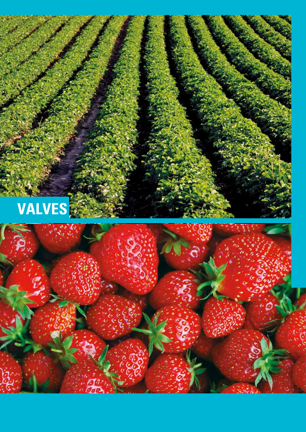

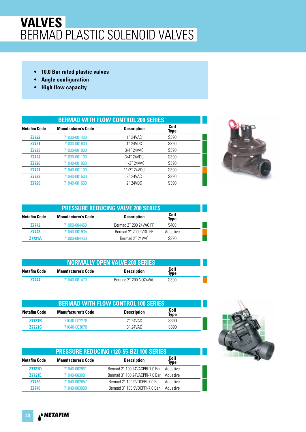#### **VALVES** BERMAD PLASTIC SOLENOID VALVES

- **10.0 Bar rated plastic valves**
- **Angle configuration**
- **High flow capacity**

|                     | <b>BERMAD WITH FLOW CONTROL 200 SERIES</b> |                    |              |  |  |
|---------------------|--------------------------------------------|--------------------|--------------|--|--|
| <b>Netafim Code</b> | <b>Manufacturer's Code</b>                 | <b>Description</b> | Coil<br>Type |  |  |
| <b>Z7722</b>        | 71030-001400                               | 1" 24VAC           | S390         |  |  |
| <b>Z7721</b>        | 71030-001600                               | 1" 24VDC           | S390         |  |  |
| <b>Z7723</b>        | 71030-001000                               | 3/4" 24VAC         | S390         |  |  |
| <b>Z7724</b>        | 71030-001100                               | 3/4" 24VDC         | S390         |  |  |
| <b>Z7726</b>        | 71040-001000                               | 11/2" 24VAC        | S390         |  |  |
| <b>Z7727</b>        | 71040-001100                               | 11/2" 24VDC        | S390         |  |  |
| <b>Z7728</b>        | 71040-001500                               | 2" 24VAC           | S390         |  |  |
| Z7729               | 71040-001600                               | 2" 24VDC           | S390         |  |  |



|                     | <b>PRESSURE REDUCING VALVE 200 SERIES</b> |                        |              |  |
|---------------------|-------------------------------------------|------------------------|--------------|--|
| <b>Netafim Code</b> | <b>Manufacturer's Code</b>                | <b>Description</b>     | Coil<br>Type |  |
| <b>Z7742</b>        | 71000-004450                              | Bermad 2" 200 24VAC PR | 5400         |  |
| <b>Z7743</b>        | 71040-001935                              | Bermad 2" 200 9VDC PR  | Aquative     |  |
| 77721A              | 71000-004430                              | Bermad 2" 24VAC        | S390         |  |

| <b>NORMALLY OPEN VALVE 200 SERIES</b> |                            |                       |                     |  |
|---------------------------------------|----------------------------|-----------------------|---------------------|--|
| Netafim Code                          | <b>Manufacturer's Code</b> | <b>Description</b>    | Coil<br><b>Type</b> |  |
| 77744                                 | 71040-001470               | Bermad 2" 200 NO24VAC | S390.               |  |

|                     | <b>BERMAD WITH FLOW CONTROL 100 SERIES</b> |                    |              |  |  |
|---------------------|--------------------------------------------|--------------------|--------------|--|--|
| <b>Netafim Code</b> | <b>Manufacturer's Code</b>                 | <b>Description</b> | Coil<br>Type |  |  |
| <b>Z7721B</b>       | 71040-002270                               | 2" 24VAC           | S390         |  |  |
| <b>Z7721C</b>       | 71040-003070                               | $3''$ 24VAC        | S390         |  |  |

|                     | <b>PRESSURE REDUCING (120-55-BZ) 100 SERIES</b> |                                |              |  |
|---------------------|-------------------------------------------------|--------------------------------|--------------|--|
| <b>Netafim Code</b> | <b>Manufacturer's Code</b>                      | <b>Description</b>             | Coil<br>Type |  |
| <b>Z7721D</b>       | 71040-002861                                    | Bermad 2" 100 24VACPRI-7.0 Bar | Aquative     |  |
| <b>Z7721E</b>       | 71040-003091                                    | Bermad 3" 100 24VACPRI-7.0 Bar | Aquative     |  |
| Z7739               | 71040-002857                                    | Bermad 2" 100 9VDCPRI-7.0 Bar  | Aquative     |  |
| <b>Z7740</b>        | 71040-003098                                    | Bermad 3" 100 9VDCPRI-7.0 Bar  | Aquative     |  |

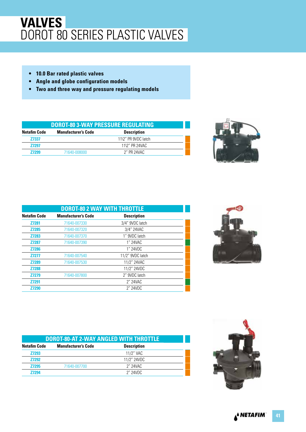#### **VALVES** DOROT 80 SERIES PLASTIC VALVES

- **10.0 Bar rated plastic valves**
- **Angle and globe configuration models**
- **Two and three way and pressure regulating models**

| <b>DOROT-80 3-WAY PRESSURE REGULATING</b> |                     |  |  |
|-------------------------------------------|---------------------|--|--|
| <b>Manufacturer's Code</b>                | <b>Description</b>  |  |  |
|                                           | 11\2" PR 9VDC latch |  |  |
|                                           | 11\2" PR 24VAC      |  |  |
| 71640-008000                              | 2″ PR 24VAC         |  |  |
|                                           |                     |  |  |



| <b>DOROT-80 2 WAY WITH THROTTLE</b> |                            |                    |  |
|-------------------------------------|----------------------------|--------------------|--|
| <b>Netafim Code</b>                 | <b>Manufacturer's Code</b> | <b>Description</b> |  |
| <b>Z7281</b>                        | 71640-007330               | 3/4" 9VDC latch    |  |
| <b>Z7285</b>                        | 71640-007320               | 3/4" 24VAC         |  |
| Z7283                               | 71640-007370               | 1" 9VDC latch      |  |
| <b>Z7287</b>                        | 71640-007390               | 1" 24VAC           |  |
| <b>Z7286</b>                        |                            | 1" 24VDC           |  |
| <b>Z7277</b>                        | 71640-007540               | 11/2" 9VDC latch   |  |
| Z7289                               | 71640-007530               | 11/2" 24VAC        |  |
| <b>Z7288</b>                        |                            | 11/2" 24VDC        |  |
| <b>Z7279</b>                        | 71640-007800               | 2" 9VDC latch      |  |
| Z7291                               |                            | 2" 24VAC           |  |
| <b>Z7290</b>                        |                            | 2" 24VDC           |  |



|                     | <b>DOROT-80-AT 2-WAY ANGLED WITH THROTTLE</b> |                    |  |  |
|---------------------|-----------------------------------------------|--------------------|--|--|
| <b>Netafim Code</b> | <b>Manufacturer's Code</b>                    | <b>Description</b> |  |  |
| <b>Z7293</b>        |                                               | 11/2" VAC          |  |  |
| <b>Z7292</b>        |                                               | 11/2" 24VDC        |  |  |
| <b>Z7295</b>        | 71640-007700                                  | 2" 24 VAC          |  |  |
| 77294               |                                               | 2" 24VDC           |  |  |

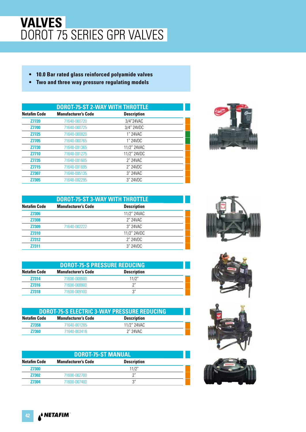#### **VALVES** DOROT 75 SERIES GPR VALVES

- **10.0 Bar rated glass reinforced polyamide valves**
- **Two and three way pressure regulating models**

| <b>DOROT-75-ST 2-WAY WITH THROTTLE</b> |                            |                    |  |
|----------------------------------------|----------------------------|--------------------|--|
| <b>Netafim Code</b>                    | <b>Manufacturer's Code</b> | <b>Description</b> |  |
| <b>Z7720</b>                           | 71640-000720               | 3/4"24VAC          |  |
| <b>Z7700</b>                           | 71640-000725               | 3/4" 24VDC         |  |
| <b>Z7725</b>                           | 71640-000820               | 1" 24VAC           |  |
| <b>Z7705</b>                           | 71640-000765               | 1" 24VDC           |  |
| <b>Z7730</b>                           | 71640-001365               | 11/2" 24VAC        |  |
| <b>Z7710</b>                           | 71640-001275               | 11/2" 24VDC        |  |
| <b>Z7735</b>                           | 71640-001605               | 2" 24VAC           |  |
| <b>Z7715</b>                           | 71640-001695               | 2" 24VDC           |  |
| <b>Z7307</b>                           | 71640-005135               | 3" 24VAC           |  |
| <b>Z7305</b>                           | 71640-002295               | 3" 24VDC           |  |



| DOROT-75-ST 3-WAY WITH THROTTLE |                            |                    |  |
|---------------------------------|----------------------------|--------------------|--|
| <b>Netafim Code</b>             | <b>Manufacturer's Code</b> | <b>Description</b> |  |
| <b>Z7306</b>                    |                            | 11/2" 24VAC        |  |
| <b>Z7308</b>                    |                            | 2" 24VAC           |  |
| Z7309                           | 71640-002222               | 3" 24VAC           |  |
| <b>Z7310</b>                    |                            | 11/2" 24VDC        |  |
| <b>Z7312</b>                    |                            | 2" 24VDC           |  |
| <b>Z7311</b>                    |                            | $3''$ 24VDC        |  |

| DOROT-75-S PRESSURE REDUCING |                            |                    |  |
|------------------------------|----------------------------|--------------------|--|
| Netafim Code                 | <b>Manufacturer's Code</b> | <b>Description</b> |  |
| <b>Z7314</b>                 | 71600-008600               | 11/2"              |  |
| <b>Z7316</b>                 | 71600-008800               | ን"                 |  |
| 77318                        | 71600-009100               | 3''                |  |

| DOROT-75-S ELECTRIC 3-WAY PRESSURE REDUCING |                            |                    |  |
|---------------------------------------------|----------------------------|--------------------|--|
| Netafim Code                                | <b>Manufacturer's Code</b> | <b>Description</b> |  |
| <b>Z7358</b>                                | 71640-001285               | 11/2" 24VAC        |  |
| <b>Z7360</b>                                | 71640-003416               | 2" 24VAC           |  |

| <b>DOROT-75-ST MANUAL</b> |                            |                    |  |
|---------------------------|----------------------------|--------------------|--|
| <b>Netafim Code</b>       | <b>Manufacturer's Code</b> | <b>Description</b> |  |
| <b>Z7300</b>              |                            | 11/2"              |  |
| <b>Z7302</b>              | 71600-002700               | ייר                |  |
| 77304                     | 71600-007400               | ว"                 |  |







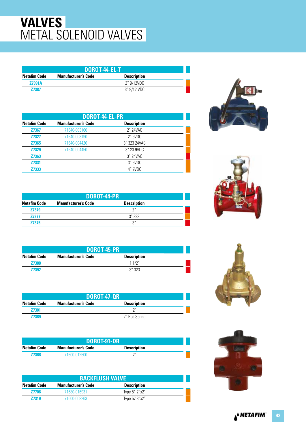## **VALVES** METAL SOLENOID VALVES

| DOROT-44-EL-T       |                            |                    |  |
|---------------------|----------------------------|--------------------|--|
| <b>Netafim Code</b> | <b>Manufacturer's Code</b> | <b>Description</b> |  |
| <b>Z7391A</b>       |                            | 2″ 9/12VDC         |  |
| <b>Z7387</b>        |                            | 3″ 9/12 VDC        |  |

| DOROT-44-EL-PR      |                            |                    |  |
|---------------------|----------------------------|--------------------|--|
| <b>Netafim Code</b> | <b>Manufacturer's Code</b> | <b>Description</b> |  |
| <b>Z7367</b>        | 71640-003160               | 2" 24VAC           |  |
| <b>Z7327</b>        | 71640-003190               | 2" 9VDC            |  |
| Z7365               | 71640-004420               | 3" 323 24 VAC      |  |
| <b>Z7329</b>        | 71640-004450               | 3" 23 9VDC         |  |
| Z7363               |                            | 3" 24VAC           |  |
| Z7331               |                            | 3" 9VDC            |  |
| Z7333               |                            | 4" 9VDC            |  |

| DOROT-44-PR         |                            |                    |  |
|---------------------|----------------------------|--------------------|--|
| <b>Netafim Code</b> | <b>Manufacturer's Code</b> | <b>Description</b> |  |
| <b>Z7379</b>        |                            | 2''                |  |
| <b>Z7377</b>        |                            | 3''323             |  |
| 77375               |                            | ر?                 |  |

| DOROT-45-PR         |                            |                    |  |
|---------------------|----------------------------|--------------------|--|
| <b>Netafim Code</b> | <b>Manufacturer's Code</b> | <b>Description</b> |  |
| <b>Z7388</b>        |                            | 11/2"              |  |
| <b>Z7392</b>        |                            | 3''323             |  |

| <b>DOROT-47-QR</b>  |                            |                    |  |
|---------------------|----------------------------|--------------------|--|
| <b>Netafim Code</b> | <b>Manufacturer's Code</b> | <b>Description</b> |  |
| <b>Z7301</b>        |                            | יירי               |  |
| <b>Z7389</b>        |                            | 2" Red Spring      |  |

|                     | <b>DOROT-91-QR</b>         |                    |  |
|---------------------|----------------------------|--------------------|--|
| <b>Netafim Code</b> | <b>Manufacturer's Code</b> | <b>Description</b> |  |
| 77366               | 71600-012500               | $\bigcap$          |  |

| <b>BACKFLUSH VALVE</b> |                            |                    |  |
|------------------------|----------------------------|--------------------|--|
| Netafim Code           | <b>Manufacturer's Code</b> | <b>Description</b> |  |
| <b>Z7706</b>           | 71680-016931               | Type 51 2"x2"      |  |
| <b>Z7319</b>           | 71600-008263               | Type 57 3"x2"      |  |







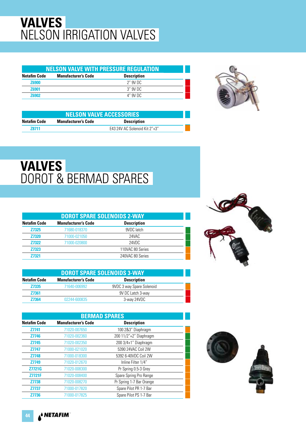## **VALVES** NELSON IRRIGATION VALVES

| <b>NELSON VALVE WITH PRESSURE REGULATION</b> |                    |  |
|----------------------------------------------|--------------------|--|
| <b>Manufacturer's Code</b>                   | <b>Description</b> |  |
|                                              | 2" 9V DC           |  |
|                                              | 3″ 9V DC           |  |
|                                              | 4" 9V DC           |  |
|                                              |                    |  |



| <b>NELSON VALVE ACCESSORIES</b> |                            |                               |  |
|---------------------------------|----------------------------|-------------------------------|--|
| Netafim Code                    | <b>Manufacturer's Code</b> | <b>Description</b>            |  |
| 78711                           |                            | E43 24V AC Solenoid Kit 2"+3" |  |

# **VALVES** DOROT & BERMAD SPARES

| <b>DOROT SPARE SOLENOIDS 2-WAY</b> |                            |                    |  |
|------------------------------------|----------------------------|--------------------|--|
| <b>Netafim Code</b>                | <b>Manufacturer's Code</b> | <b>Description</b> |  |
| <b>Z7325</b>                       | 71680-018370               | 9VDC latch         |  |
| <b>Z7320</b>                       | 71000-021050               | 24VAC              |  |
| <b>Z7322</b>                       | 71000-020800               | 24VDC              |  |
| <b>Z7323</b>                       |                            | 110VAC 80 Series   |  |
| <b>Z7321</b>                       |                            | 240VAC 80 Series   |  |

| <b>DOROT SPARE SOLENOIDS 3-WAY</b> |                            |                           |  |
|------------------------------------|----------------------------|---------------------------|--|
| <b>Netafim Code</b>                | <b>Manufacturer's Code</b> | <b>Description</b>        |  |
| <b>Z7335</b>                       | 71640-006992               | 9VDC 3 way Spare Solenoid |  |
| <b>Z7361</b>                       |                            | 9V DC Latch 3-way         |  |
| <b>Z7364</b>                       | 02244-600835               | 3-way 24VDC               |  |

| <b>BERMAD SPARES</b> |                            |                          |  |
|----------------------|----------------------------|--------------------------|--|
| <b>Netafim Code</b>  | <b>Manufacturer's Code</b> | <b>Description</b>       |  |
| Z7741                | 71020-007650               | 100 2&3" Diaphragm       |  |
| <b>Z7746</b>         | 71020-002360               | 200 11/2"+2" Diaphragm   |  |
| <b>Z7745</b>         | 71020-002350               | 200 3/4+1" Diaphragm     |  |
| <b>Z7747</b>         | 71000-021020               | 5390 24VAC Coil 2W       |  |
| Z7748                | 71000-018300               | 5392 6-40VDC Coil 2W     |  |
| Z7749                | 71020-012670               | Inline Filter 1/4"       |  |
| <b>Z7721G</b>        | 71020-008300               | Pr Spring 0.5-3 Grey     |  |
| <b>Z7721F</b>        | 71020-008400               | Spare Spring Pro Range   |  |
| <b>Z7738</b>         | 71020-008270               | Pr Spring 1-7 Bar Orange |  |
| <b>Z7737</b>         | 71000-017820               | Spare Pilot PR 1-7 Bar   |  |
| <b>Z7736</b>         | 71000-017825               | Spare Pilot PS 1-7 Bar   |  |



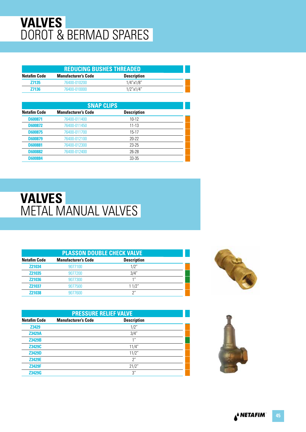## **VALVES** DOROT & BERMAD SPARES

| <b>REDUCING BUSHES THREADED.</b> |                            |                    |  |
|----------------------------------|----------------------------|--------------------|--|
| Netafim Code                     | <b>Manufacturer's Code</b> | <b>Description</b> |  |
| <b>Z7135</b>                     | 76400-010200               | $1/4$ "x $1/8$ "   |  |
| <b>Z7136</b>                     | 76400-010000               | $1/2$ "x $1/4$ "   |  |

| <b>SNAP CLIPS</b>   |                            |                    |  |  |
|---------------------|----------------------------|--------------------|--|--|
| <b>Netafim Code</b> | <b>Manufacturer's Code</b> | <b>Description</b> |  |  |
| <b>D600871</b>      | 76400-011400               | $10 - 12$          |  |  |
| <b>D600872</b>      | 76400-011450               | $11 - 13$          |  |  |
| <b>D600875</b>      | 76400-011700               | $15-17$            |  |  |
| <b>D600879</b>      | 76400-012100               | $20 - 22$          |  |  |
| <b>D600881</b>      | 76400-012300               | $23 - 25$          |  |  |
| <b>D600882</b>      | 76400-012400               | 26-28              |  |  |
| <b>D600884</b>      |                            | 33-35              |  |  |

#### **VALVES** METAL MANUAL VALVES

| <b>PLASSON DOUBLE CHECK VALVE</b> |                            |                    |  |
|-----------------------------------|----------------------------|--------------------|--|
| <b>Netafim Code</b>               | <b>Manufacturer's Code</b> | <b>Description</b> |  |
| <b>Z21034</b>                     | 9077100                    | 1/2"               |  |
| <b>Z21035</b>                     | 9077200                    | 3/4"               |  |
| <b>Z21036</b>                     | 9077300                    | 1''                |  |
| <b>Z21037</b>                     | 9077500                    | 11/2"              |  |
| <b>Z21038</b>                     | 9077600                    | $2^{\prime\prime}$ |  |

| <b>PRESSURE RELIEF VALVE</b> |                            |                    |  |
|------------------------------|----------------------------|--------------------|--|
| <b>Netafim Code</b>          | <b>Manufacturer's Code</b> | <b>Description</b> |  |
| <b>Z3429</b>                 |                            | 1/2"               |  |
| <b>Z3429A</b>                |                            | 3/4"               |  |
| <b>Z3429B</b>                |                            | 1 <sup>II</sup>    |  |
| Z3429C                       |                            | 11/4"              |  |
| <b>Z3429D</b>                |                            | 11/2"              |  |
| Z3429E                       |                            | 2"                 |  |
| <b>Z3429F</b>                |                            | 21/2"              |  |
| <b>Z3429G</b>                |                            | 3"                 |  |



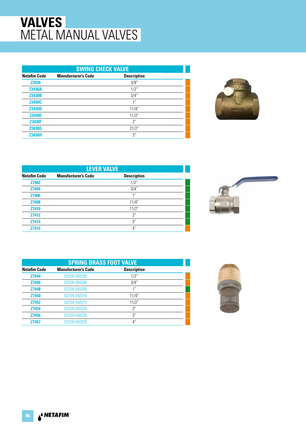#### **VALVES** METAL MANUAL VALVES

| <b>SWING CHECK VALVE</b> |                            |                    |  |
|--------------------------|----------------------------|--------------------|--|
| <b>Netafim Code</b>      | <b>Manufacturer's Code</b> | <b>Description</b> |  |
| Z3430                    |                            | 3/8"               |  |
| <b>Z3430A</b>            |                            | 1/2"               |  |
| <b>Z3430B</b>            |                            | 3/4"               |  |
| Z3430C                   |                            | 1 <sup>II</sup>    |  |
| <b>Z3430D</b>            |                            | 11/4"              |  |
| <b>Z3430E</b>            |                            | 11/2"              |  |
| <b>Z3430F</b>            |                            | 2"                 |  |
| <b>Z3430G</b>            |                            | 21/2"              |  |
| <b>Z3430H</b>            |                            | 3"                 |  |



| <b>LEVER VALVE</b>  |                            |                    |  |
|---------------------|----------------------------|--------------------|--|
| <b>Netafim Code</b> | <b>Manufacturer's Code</b> | <b>Description</b> |  |
| <b>Z7402</b>        |                            | 1/2"               |  |
| Z7404               |                            | 3/4"               |  |
| Z7406               |                            | 1 <sup>''</sup>    |  |
| <b>Z7408</b>        |                            | 11/4"              |  |
| Z7410               |                            | 11/2"              |  |
| Z7412               |                            | 2"                 |  |
| Z7414               |                            | 3''                |  |
| Z7415               |                            | $4^{\prime\prime}$ |  |



| <b>SPRING BRASS FOOT VALVE</b> |                            |                    |  |
|--------------------------------|----------------------------|--------------------|--|
| <b>Netafim Code</b>            | <b>Manufacturer's Code</b> | <b>Description</b> |  |
| Z7444                          | 02259-550295               | 1/2"               |  |
| <b>Z7446</b>                   | 02259-550300               | 3/4"               |  |
| Z7448                          | 02259-550305               | 1 <sup>II</sup>    |  |
| <b>Z7450</b>                   | 02259-550310               | 11/4"              |  |
| Z7452                          | 02259-550315               | 11/2"              |  |
| Z7454                          | 02259-550320               | 2"                 |  |
| <b>Z7456</b>                   | 02259-550330               | 3"                 |  |
| Z7457                          | 02259-550335               | 4"                 |  |

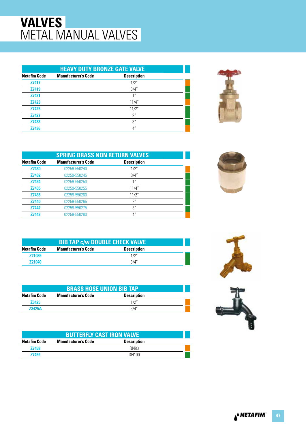## **VALVES** METAL MANUAL VALVES

|                     | <b>HEAVY DUTY BRONZE GATE VALVE</b> |                    |  |  |
|---------------------|-------------------------------------|--------------------|--|--|
| <b>Netafim Code</b> | <b>Manufacturer's Code</b>          | <b>Description</b> |  |  |
| <b>Z7417</b>        |                                     | 1/2"               |  |  |
| Z7419               |                                     | 3/4"               |  |  |
| <b>Z7421</b>        |                                     | 11                 |  |  |
| <b>Z7423</b>        |                                     | 11/4"              |  |  |
| <b>Z7425</b>        |                                     | 11/2"              |  |  |
| <b>Z7427</b>        |                                     | $2^{\prime\prime}$ |  |  |
| Z7433               |                                     | 3"                 |  |  |
| Z7436               |                                     | 4"                 |  |  |



| <b>SPRING BRASS NON RETURN VALVES</b> |                            |                    |  |
|---------------------------------------|----------------------------|--------------------|--|
| <b>Netafim Code</b>                   | <b>Manufacturer's Code</b> | <b>Description</b> |  |
| <b>Z7430</b>                          | 02259-550240               | 1/2"               |  |
| <b>Z7432</b>                          | 02259-550245               | 3/4"               |  |
| Z7434                                 | 02259-550250               | 1 <sup>''</sup>    |  |
| Z7435                                 | 02259-550255               | 11/4"              |  |
| Z7438                                 | 02259-550260               | 11/2"              |  |
| <b>Z7440</b>                          | 02259-550265               | 2"                 |  |
| <b>Z7442</b>                          | 02259-550275               | 3"                 |  |
| Z7443                                 | 02259-550280               | $4^{\prime\prime}$ |  |

| <b>Netafim Code</b> | <b>BIB TAP c/w DOUBLE CHECK VALVE</b><br><b>Manufacturer's Code</b> | <b>Description</b> |  |
|---------------------|---------------------------------------------------------------------|--------------------|--|
| Z21039              |                                                                     | 1/2"               |  |
| 721040              |                                                                     | 3/4"               |  |

| <b>BRASS HOSE UNION BIB TAP</b>                                  |  |      |  |  |
|------------------------------------------------------------------|--|------|--|--|
| <b>Description</b><br>Netafim Code<br><b>Manufacturer's Code</b> |  |      |  |  |
| <b>Z3425</b>                                                     |  |      |  |  |
| <b>Z3425A</b>                                                    |  | 3/4" |  |  |

| <b>BUTTERFLY CAST IRON VALVE</b>                                 |  |              |  |  |
|------------------------------------------------------------------|--|--------------|--|--|
| Netafim Code<br><b>Description</b><br><b>Manufacturer's Code</b> |  |              |  |  |
| <b>Z7458</b>                                                     |  | DN80         |  |  |
| <b>Z7459</b>                                                     |  | <b>DN100</b> |  |  |





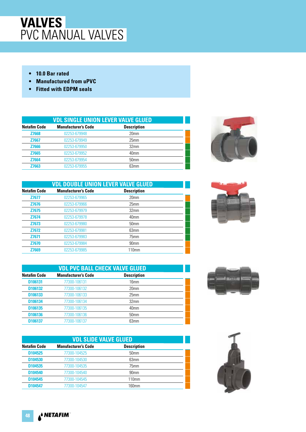- **10.0 Bar rated**
- **Manufactured from uPVC**
- **Fitted with EDPM seals**

|                     | <b>VDL SINGLE UNION LEVER VALVE GLUED</b> |                    |  |  |  |
|---------------------|-------------------------------------------|--------------------|--|--|--|
| <b>Netafim Code</b> | <b>Manufacturer's Code</b>                | <b>Description</b> |  |  |  |
| <b>Z7668</b>        | 02253-679948                              | 20 <sub>mm</sub>   |  |  |  |
| <b>Z7667</b>        | 02253-679949                              | 25mm               |  |  |  |
| <b>Z7666</b>        | 02253-679950                              | 32mm               |  |  |  |
| Z7665               | 02253-679952                              | 40mm               |  |  |  |
| <b>Z7664</b>        | 02253-679954                              | 50 <sub>mm</sub>   |  |  |  |
| Z7663               | 02253-679955                              | 63mm               |  |  |  |



|                     | <b>VDL DOUBLE UNION LEVER VALVE GLUED</b> |                    |  |  |
|---------------------|-------------------------------------------|--------------------|--|--|
| <b>Netafim Code</b> | <b>Manufacturer's Code</b>                | <b>Description</b> |  |  |
| <b>Z7677</b>        | 02253-679965                              | 20 <sub>mm</sub>   |  |  |
| <b>Z7676</b>        | 02253-679966                              | 25mm               |  |  |
| <b>Z7675</b>        | 02253-679979                              | 32 <sub>mm</sub>   |  |  |
| Z7674               | 02253-679978                              | 40mm               |  |  |
| Z7673               | 02253-679980                              | 50 <sub>mm</sub>   |  |  |
| <b>Z7672</b>        | 02253-679981                              | 63mm               |  |  |
| <b>Z7671</b>        | 02253-679983                              | 75mm               |  |  |
| <b>Z7670</b>        | 02253-679984                              | 90 <sub>mm</sub>   |  |  |
| Z7669               | 02253-679985                              | 110mm              |  |  |

|                     | <b>VDL PVC BALL CHECK VALVE GLUED</b> |                    |  |  |  |
|---------------------|---------------------------------------|--------------------|--|--|--|
| <b>Netafim Code</b> | <b>Manufacturer's Code</b>            | <b>Description</b> |  |  |  |
| D106131             | 77300-106131                          | 16mm               |  |  |  |
| D106132             | 77300-106132                          | 20 <sub>mm</sub>   |  |  |  |
| D106133             | 77300-106133                          | 25mm               |  |  |  |
| D106134             | 77300-106134                          | 32 <sub>mm</sub>   |  |  |  |
| D106135             | 77300-106135                          | 40mm               |  |  |  |
| D106136             | 77300-106136                          | 50 <sub>mm</sub>   |  |  |  |
| D106137             | 77300-106137                          | 63mm               |  |  |  |

| <b>VDL SLIDE VALVE GLUED</b> |                            |                    |  |
|------------------------------|----------------------------|--------------------|--|
| <b>Netafim Code</b>          | <b>Manufacturer's Code</b> | <b>Description</b> |  |
| D104525                      | 77300-104525               | 50 <sub>mm</sub>   |  |
| D <sub>104530</sub>          | 77300-104530               | 63mm               |  |
| D104535                      | 77300-104535               | 75mm               |  |
| D104540                      | 77300-104540               | 90 <sub>mm</sub>   |  |
| D104545                      | 77300-104545               | 110 <sub>mm</sub>  |  |
| D104547                      | 77300-104547               | 160mm              |  |





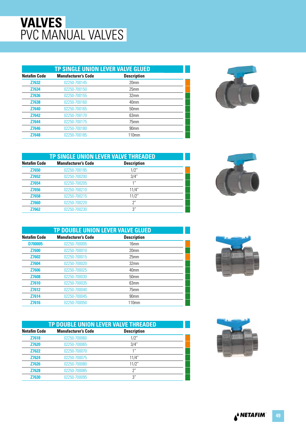| <b>TP SINGLE UNION LEVER VALVE GLUED</b> |                            |                    |  |
|------------------------------------------|----------------------------|--------------------|--|
| <b>Netafim Code</b>                      | <b>Manufacturer's Code</b> | <b>Description</b> |  |
| <b>Z7632</b>                             | 02250-700145               | 20 <sub>mm</sub>   |  |
| Z7634                                    | 02250-700150               | 25mm               |  |
| <b>Z7636</b>                             | 02250-700155               | 32 <sub>mm</sub>   |  |
| <b>Z7638</b>                             | 02250-700160               | 40 <sub>mm</sub>   |  |
| <b>Z7640</b>                             | 02250-700165               | 50 <sub>mm</sub>   |  |
| <b>Z7642</b>                             | 02250-700170               | 63mm               |  |
| <b>Z7644</b>                             | 02250-700175               | 75mm               |  |
| <b>Z7646</b>                             | 02250-700180               | 90 <sub>mm</sub>   |  |
| <b>Z7648</b>                             | 02250-700185               | 110mm              |  |



|                     | TP SINGLE UNION LEVER VALVE THREADED |                    |  |  |  |
|---------------------|--------------------------------------|--------------------|--|--|--|
| <b>Netafim Code</b> | <b>Manufacturer's Code</b>           | <b>Description</b> |  |  |  |
| Z7650               | 02250-700195                         | 1/2"               |  |  |  |
| Z7652               | 02250-700200                         | 3/4"               |  |  |  |
| Z7654               | 02250-700205                         | $^{\prime\prime}$  |  |  |  |
| Z7656               | 02250-700210                         | 11/4"              |  |  |  |
| Z7658               | 02250-700215                         | 11/2"              |  |  |  |
| <b>Z7660</b>        | 02250-700220                         | 2"                 |  |  |  |
| <b>Z7662</b>        | 02250-700230                         | 3"                 |  |  |  |

|              | TP DOUBLE UNION LEVER VALVE GLUED |                    |  |  |  |
|--------------|-----------------------------------|--------------------|--|--|--|
| Netafim Code | <b>Manufacturer's Code</b>        | <b>Description</b> |  |  |  |
| D700005      | 02250-700005                      | 16mm               |  |  |  |
| <b>Z7600</b> | 02250-700010                      | 20 <sub>mm</sub>   |  |  |  |
| <b>Z7602</b> | 02250-700015                      | 25mm               |  |  |  |
| <b>Z7604</b> | 02250-700020                      | 32 <sub>mm</sub>   |  |  |  |
| <b>Z7606</b> | 02250-700025                      | 40mm               |  |  |  |
| <b>Z7608</b> | 02250-700030                      | 50 <sub>mm</sub>   |  |  |  |
| <b>Z7610</b> | 02250-700035                      | 63mm               |  |  |  |
| Z7612        | 02250-700040                      | 75mm               |  |  |  |
| Z7614        | 02250-700045                      | 90 <sub>mm</sub>   |  |  |  |
| Z7616        | 02250-700050                      | 110 <sub>mm</sub>  |  |  |  |

|                     | TP DOUBLE UNION LEVER VALVE THREADED |                    |  |  |
|---------------------|--------------------------------------|--------------------|--|--|
| <b>Netafim Code</b> | <b>Manufacturer's Code</b>           | <b>Description</b> |  |  |
| Z7618               | 02250-700060                         | 1/2"               |  |  |
| <b>Z7620</b>        | 02250-700065                         | 3/4"               |  |  |
| <b>Z7622</b>        | 02250-700070                         |                    |  |  |
| <b>Z7624</b>        | 02250-700075                         | 11/4"              |  |  |
| <b>Z7626</b>        | 02250-700080                         | 11/2"              |  |  |
| <b>Z7628</b>        | 02250-700085                         | 2"                 |  |  |
| <b>Z7630</b>        | 02250-700095                         | 3"                 |  |  |





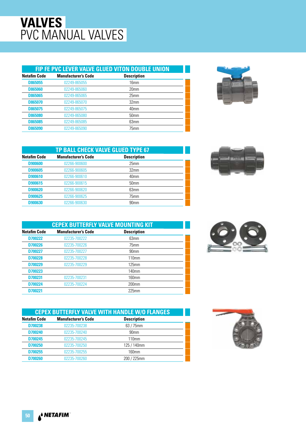#### **FIP FE PVC LEVER VALVE GLUED VITON DOUBLE UNION**

| <b>Netafim Code</b> | <b>Manufacturer's Code</b> | <b>Description</b> |  |
|---------------------|----------------------------|--------------------|--|
| <b>D865055</b>      | 02249-865055               | 16mm               |  |
| <b>D865060</b>      | 02249-865060               | 20 <sub>mm</sub>   |  |
| <b>D865065</b>      | 02249-865065               | 25mm               |  |
| <b>D865070</b>      | 02249-865070               | 32 <sub>mm</sub>   |  |
| <b>D865075</b>      | 02249-865075               | 40mm               |  |
| <b>D865080</b>      | 02249-865080               | 50 <sub>mm</sub>   |  |
| <b>D865085</b>      | 02249-865085               | 63mm               |  |
| <b>D865090</b>      | 02249-865090               | 75mm               |  |
|                     |                            |                    |  |



| TP BALL CHECK VALVE GLUED TYPE 67 |                            |                    |  |
|-----------------------------------|----------------------------|--------------------|--|
| <b>Netafim Code</b>               | <b>Manufacturer's Code</b> | <b>Description</b> |  |
| <b>D900600</b>                    | 02266-900600               | 25mm               |  |
| <b>D900605</b>                    | 02266-900605               | 32 <sub>mm</sub>   |  |
| D900610                           | 02266-900610               | 40mm               |  |
| D900615                           | 02266-900615               | 50 <sub>mm</sub>   |  |
| <b>D900620</b>                    | 02266-900620               | 63mm               |  |
| <b>D900625</b>                    | 02266-900625               | 75mm               |  |
| D900630                           | 02266-900630               | 90 <sub>mm</sub>   |  |



| <b>CEPEX BUTTERFLY VALVE MOUNTING KIT</b> |                            |                    |  |  |
|-------------------------------------------|----------------------------|--------------------|--|--|
| <b>Netafim Code</b>                       | <b>Manufacturer's Code</b> | <b>Description</b> |  |  |
| D700222                                   | 02235-700222               | 63mm               |  |  |
| D700226                                   | 02235-700226               | 75mm               |  |  |
| D700227                                   | 02235-700227               | 90 <sub>mm</sub>   |  |  |
| D700228                                   | 02235-700228               | 110mm              |  |  |
| D700229                                   | 02235-700229               | 125mm              |  |  |
| D700223                                   |                            | 140mm              |  |  |
| D700231                                   | 02235-700231               | $160$ mm           |  |  |
| D700224                                   | 02235-700224               | $200$ mm           |  |  |
| D700221                                   |                            | $225$ mm           |  |  |

|                                                                         | <b>CEPEX BUTTERFLY VALVE WITH HANDLE W/O FLANGES</b> |                  |  |  |
|-------------------------------------------------------------------------|------------------------------------------------------|------------------|--|--|
| <b>Manufacturer's Code</b><br><b>Description</b><br><b>Netafim Code</b> |                                                      |                  |  |  |
| D700238                                                                 | 02235-700238                                         | $63/75$ mm       |  |  |
| D700240                                                                 | 02235-700240                                         | 90 <sub>mm</sub> |  |  |
| D700245                                                                 | 02235-700245                                         | 110mm            |  |  |
| D700250                                                                 | 02235-700250                                         | 125 / 140mm      |  |  |
| D700255                                                                 | 02235-700255                                         | 160mm            |  |  |
| D700260                                                                 | 02235-700260                                         | 200 / 225mm      |  |  |

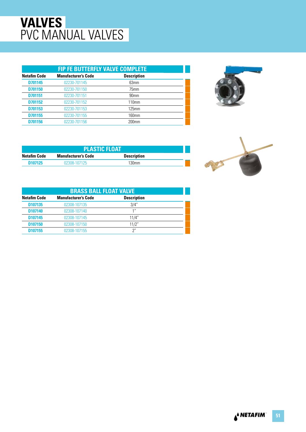| <b>FIP FE BUTTERFLY VALVE COMPLETE</b> |                                                  |                  |  |  |  |  |
|----------------------------------------|--------------------------------------------------|------------------|--|--|--|--|
| <b>Netafim Code</b>                    | <b>Description</b><br><b>Manufacturer's Code</b> |                  |  |  |  |  |
| D701145                                | 02230-701145                                     | 63mm             |  |  |  |  |
| D701150                                | 02230-701150                                     | 75mm             |  |  |  |  |
| D701151                                | 02230-701151                                     | 90 <sub>mm</sub> |  |  |  |  |
| D701152                                | 02230-701152                                     | 110mm            |  |  |  |  |
| D701153                                | 02230-701153                                     | 125mm            |  |  |  |  |
| D701155                                | 02230-701155                                     | $160$ mm         |  |  |  |  |
| D701156                                | 02230-701156                                     | $200$ mm         |  |  |  |  |
|                                        |                                                  |                  |  |  |  |  |



| <b>PLASTIC FLOAT</b>       |                    |  |  |
|----------------------------|--------------------|--|--|
| <b>Manufacturer's Code</b> | <b>Description</b> |  |  |
| 02308-107125               | 130 <sub>mm</sub>  |  |  |
|                            |                    |  |  |

| <b>BRASS BALL FLOAT VALVE</b>                                           |              |       |  |  |  |
|-------------------------------------------------------------------------|--------------|-------|--|--|--|
| <b>Netafim Code</b><br><b>Manufacturer's Code</b><br><b>Description</b> |              |       |  |  |  |
| D107135                                                                 | 02308-107135 | 3/4"  |  |  |  |
| D107140                                                                 | 02308-107140 | 1"    |  |  |  |
| D107145                                                                 | 02308-107145 | 11/4" |  |  |  |
| D <sub>107150</sub>                                                     | 02308-107150 | 11/2" |  |  |  |
| D107155                                                                 | 02308-107155 | 2"    |  |  |  |